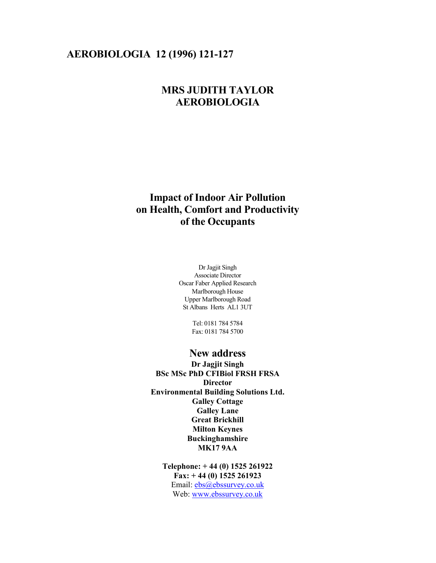# AEROBIOLOGIA 12 (1996) 121-127

# MRS JUDITH TAYLOR AEROBIOLOGIA

# Impact of Indoor Air Pollution on Health, Comfort and Productivity of the Occupants

Dr Jagjit Singh Associate Director Oscar Faber Applied Research Marlborough House Upper Marlborough Road St Albans Herts AL1 3UT

> Tel: 0181 784 5784 Fax: 0181 784 5700

#### New address

Dr Jagjit Singh BSc MSc PhD CFIBiol FRSH FRSA **Director** Environmental Building Solutions Ltd. Galley Cottage Galley Lane Great Brickhill Milton Keynes Buckinghamshire MK17 9AA

Telephone: + 44 (0) 1525 261922 Fax: + 44 (0) 1525 261923 Email: ebs@ebssurvey.co.uk Web: www.ebssurvey.co.uk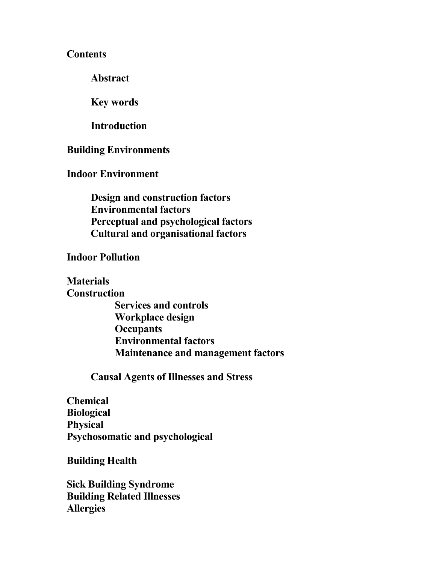# **Contents**

Abstract

Key words

Introduction

# Building Environments

Indoor Environment

 Design and construction factors Environmental factors Perceptual and psychological factors Cultural and organisational factors

Indoor Pollution

**Materials Construction** 

 Services and controls Workplace design **Occupants**  Environmental factors Maintenance and management factors

Causal Agents of Illnesses and Stress

Chemical Biological Physical Psychosomatic and psychological

Building Health

Sick Building Syndrome Building Related Illnesses Allergies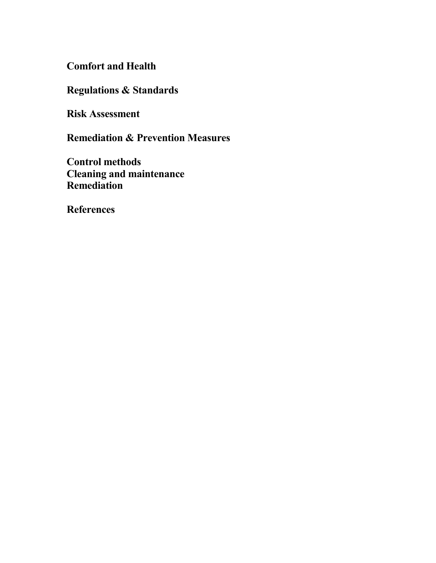Comfort and Health

Regulations & Standards

Risk Assessment

Remediation & Prevention Measures

Control methods Cleaning and maintenance Remediation

**References**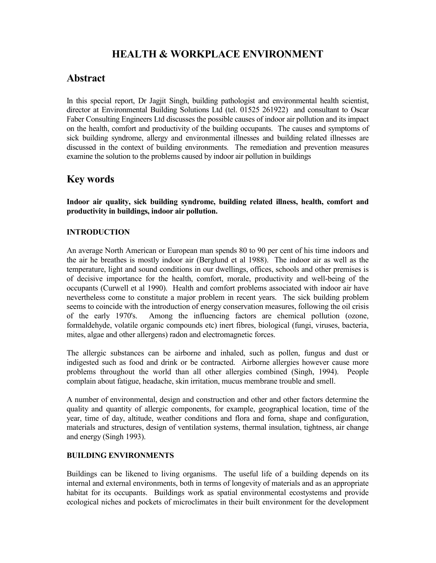# HEALTH & WORKPLACE ENVIRONMENT

# Abstract

In this special report, Dr Jagjit Singh, building pathologist and environmental health scientist, director at Environmental Building Solutions Ltd (tel. 01525 261922) and consultant to Oscar Faber Consulting Engineers Ltd discusses the possible causes of indoor air pollution and its impact on the health, comfort and productivity of the building occupants. The causes and symptoms of sick building syndrome, allergy and environmental illnesses and building related illnesses are discussed in the context of building environments. The remediation and prevention measures examine the solution to the problems caused by indoor air pollution in buildings

# Key words

Indoor air quality, sick building syndrome, building related illness, health, comfort and productivity in buildings, indoor air pollution.

# INTRODUCTION

An average North American or European man spends 80 to 90 per cent of his time indoors and the air he breathes is mostly indoor air (Berglund et al 1988). The indoor air as well as the temperature, light and sound conditions in our dwellings, offices, schools and other premises is of decisive importance for the health, comfort, morale, productivity and well-being of the occupants (Curwell et al 1990). Health and comfort problems associated with indoor air have nevertheless come to constitute a major problem in recent years. The sick building problem seems to coincide with the introduction of energy conservation measures, following the oil crisis of the early 1970's. Among the influencing factors are chemical pollution (ozone, formaldehyde, volatile organic compounds etc) inert fibres, biological (fungi, viruses, bacteria, mites, algae and other allergens) radon and electromagnetic forces.

The allergic substances can be airborne and inhaled, such as pollen, fungus and dust or indigested such as food and drink or be contracted. Airborne allergies however cause more problems throughout the world than all other allergies combined (Singh, 1994). People complain about fatigue, headache, skin irritation, mucus membrane trouble and smell.

A number of environmental, design and construction and other and other factors determine the quality and quantity of allergic components, for example, geographical location, time of the year, time of day, altitude, weather conditions and flora and forna, shape and configuration, materials and structures, design of ventilation systems, thermal insulation, tightness, air change and energy (Singh 1993).

# BUILDING ENVIRONMENTS

Buildings can be likened to living organisms. The useful life of a building depends on its internal and external environments, both in terms of longevity of materials and as an appropriate habitat for its occupants. Buildings work as spatial environmental ecostystems and provide ecological niches and pockets of microclimates in their built environment for the development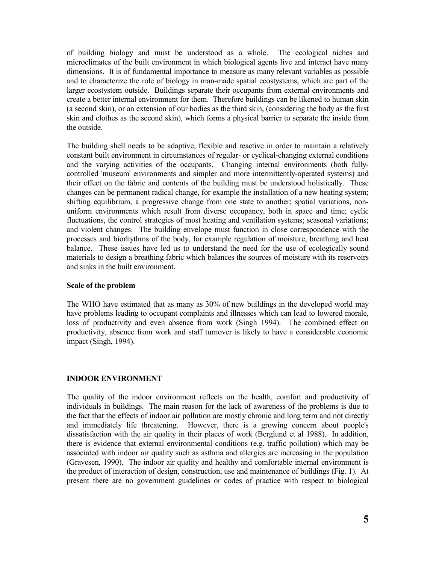of building biology and must be understood as a whole. The ecological niches and microclimates of the built environment in which biological agents live and interact have many dimensions. It is of fundamental importance to measure as many relevant variables as possible and to characterize the role of biology in man-made spatial ecostystems, which are part of the larger ecostystem outside. Buildings separate their occupants from external environments and create a better internal environment for them. Therefore buildings can be likened to human skin (a second skin), or an extension of our bodies as the third skin, (considering the body as the first skin and clothes as the second skin), which forms a physical barrier to separate the inside from the outside.

The building shell needs to be adaptive, flexible and reactive in order to maintain a relatively constant built environment in circumstances of regular- or cyclical-changing external conditions and the varying activities of the occupants. Changing internal environments (both fullycontrolled 'museum' environments and simpler and more intermittently-operated systems) and their effect on the fabric and contents of the building must be understood holistically. These changes can be permanent radical change, for example the installation of a new heating system; shifting equilibrium, a progressive change from one state to another; spatial variations, nonuniform environments which result from diverse occupancy, both in space and time; cyclic fluctuations, the control strategies of most heating and ventilation systems; seasonal variations; and violent changes. The building envelope must function in close correspondence with the processes and biorhythms of the body, for example regulation of moisture, breathing and heat balance. These issues have led us to understand the need for the use of ecologically sound materials to design a breathing fabric which balances the sources of moisture with its reservoirs and sinks in the built environment.

#### Scale of the problem

The WHO have estimated that as many as 30% of new buildings in the developed world may have problems leading to occupant complaints and illnesses which can lead to lowered morale, loss of productivity and even absence from work (Singh 1994). The combined effect on productivity, absence from work and staff turnover is likely to have a considerable economic impact (Singh, 1994).

### INDOOR ENVIRONMENT

The quality of the indoor environment reflects on the health, comfort and productivity of individuals in buildings. The main reason for the lack of awareness of the problems is due to the fact that the effects of indoor air pollution are mostly chronic and long term and not directly and immediately life threatening. However, there is a growing concern about people's dissatisfaction with the air quality in their places of work (Berglund et al 1988). In addition, there is evidence that external environmental conditions (e.g. traffic pollution) which may be associated with indoor air quality such as asthma and allergies are increasing in the population (Gravesen, 1990). The indoor air quality and healthy and comfortable internal environment is the product of interaction of design, construction, use and maintenance of buildings (Fig. 1). At present there are no government guidelines or codes of practice with respect to biological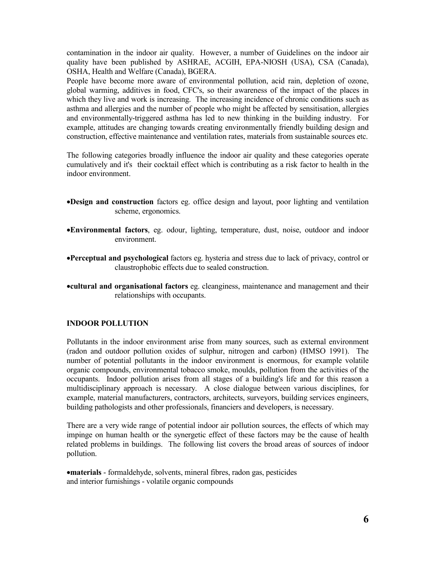contamination in the indoor air quality. However, a number of Guidelines on the indoor air quality have been published by ASHRAE, ACGIH, EPA-NIOSH (USA), CSA (Canada), OSHA, Health and Welfare (Canada), BGERA.

People have become more aware of environmental pollution, acid rain, depletion of ozone, global warming, additives in food, CFC's, so their awareness of the impact of the places in which they live and work is increasing. The increasing incidence of chronic conditions such as asthma and allergies and the number of people who might be affected by sensitisation, allergies and environmentally-triggered asthma has led to new thinking in the building industry. For example, attitudes are changing towards creating environmentally friendly building design and construction, effective maintenance and ventilation rates, materials from sustainable sources etc.

The following categories broadly influence the indoor air quality and these categories operate cumulatively and it's their cocktail effect which is contributing as a risk factor to health in the indoor environment.

- •Design and construction factors eg. office design and layout, poor lighting and ventilation scheme, ergonomics.
- •Environmental factors, eg. odour, lighting, temperature, dust, noise, outdoor and indoor environment.
- •Perceptual and psychological factors eg. hysteria and stress due to lack of privacy, control or claustrophobic effects due to sealed construction.
- •cultural and organisational factors eg. cleanginess, maintenance and management and their relationships with occupants.

### INDOOR POLLUTION

Pollutants in the indoor environment arise from many sources, such as external environment (radon and outdoor pollution oxides of sulphur, nitrogen and carbon) (HMSO 1991). The number of potential pollutants in the indoor environment is enormous, for example volatile organic compounds, environmental tobacco smoke, moulds, pollution from the activities of the occupants. Indoor pollution arises from all stages of a building's life and for this reason a multidisciplinary approach is necessary. A close dialogue between various disciplines, for example, material manufacturers, contractors, architects, surveyors, building services engineers, building pathologists and other professionals, financiers and developers, is necessary.

There are a very wide range of potential indoor air pollution sources, the effects of which may impinge on human health or the synergetic effect of these factors may be the cause of health related problems in buildings. The following list covers the broad areas of sources of indoor pollution.

•materials - formaldehyde, solvents, mineral fibres, radon gas, pesticides and interior furnishings - volatile organic compounds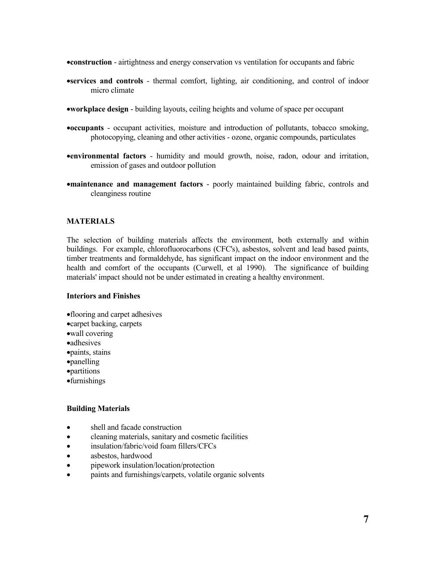•construction - airtightness and energy conservation vs ventilation for occupants and fabric

- •services and controls thermal comfort, lighting, air conditioning, and control of indoor micro climate
- •workplace design building layouts, ceiling heights and volume of space per occupant
- •occupants occupant activities, moisture and introduction of pollutants, tobacco smoking, photocopying, cleaning and other activities - ozone, organic compounds, particulates
- •environmental factors humidity and mould growth, noise, radon, odour and irritation, emission of gases and outdoor pollution
- •maintenance and management factors poorly maintained building fabric, controls and cleanginess routine

### MATERIALS

The selection of building materials affects the environment, both externally and within buildings. For example, chlorofluorocarbons (CFC's), asbestos, solvent and lead based paints, timber treatments and formaldehyde, has significant impact on the indoor environment and the health and comfort of the occupants (Curwell, et al 1990). The significance of building materials' impact should not be under estimated in creating a healthy environment.

#### Interiors and Finishes

- •flooring and carpet adhesives
- •carpet backing, carpets
- •wall covering
- •adhesives
- •paints, stains
- •panelling
- •partitions
- •furnishings

#### Building Materials

- shell and facade construction
- cleaning materials, sanitary and cosmetic facilities
- insulation/fabric/void foam fillers/CFCs
- asbestos, hardwood
- pipework insulation/location/protection
- paints and furnishings/carpets, volatile organic solvents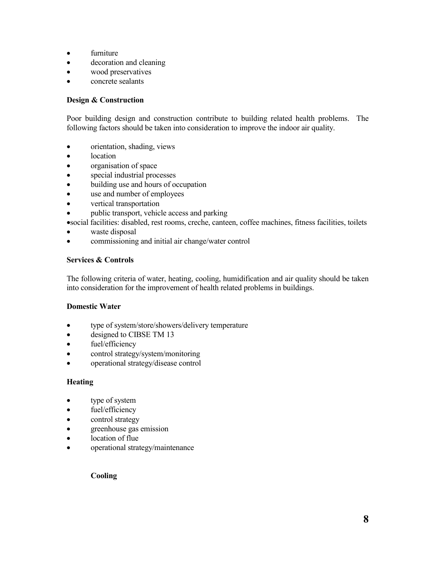- furniture
- decoration and cleaning
- wood preservatives
- concrete sealants

# Design & Construction

Poor building design and construction contribute to building related health problems. The following factors should be taken into consideration to improve the indoor air quality.

- orientation, shading, views
- location
- organisation of space
- special industrial processes
- building use and hours of occupation
- use and number of employees
- vertical transportation
- public transport, vehicle access and parking

•social facilities: disabled, rest rooms, creche, canteen, coffee machines, fitness facilities, toilets

- waste disposal
- commissioning and initial air change/water control

# Services & Controls

The following criteria of water, heating, cooling, humidification and air quality should be taken into consideration for the improvement of health related problems in buildings.

### Domestic Water

- type of system/store/showers/delivery temperature
- designed to CIBSE TM 13
- fuel/efficiency
- control strategy/system/monitoring
- operational strategy/disease control

### **Heating**

- type of system
- fuel/efficiency
- control strategy
- greenhouse gas emission
- location of flue
- operational strategy/maintenance

# Cooling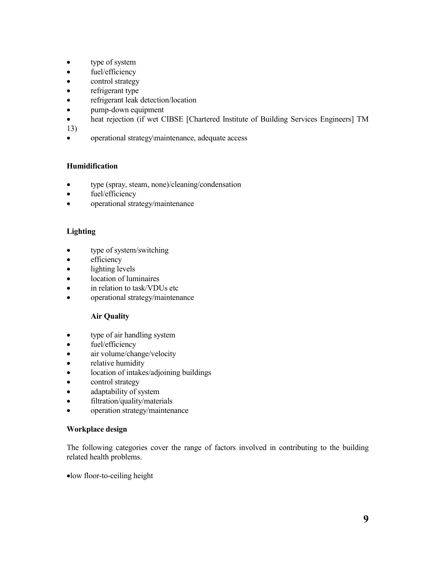- type of system
- fuel/efficiency
- control strategy
- refrigerant type
- refrigerant leak detection/location
- pump-down equipment
- heat rejection (if wet CIBSE [Chartered Institute of Building Services Engineers] TM
- 13)
- operational strategy\maintenance, adequate access

# Humidification

- type (spray, steam, none)/cleaning/condensation
- fuel/efficiency
- operational strategy/maintenance

# Lighting

- type of system/switching
- efficiency
- lighting levels
- location of luminaires
- in relation to task/VDUs etc
- operational strategy/maintenance

# Air Quality

- type of air handling system
- fuel/efficiency
- air volume/change/velocity
- relative humidity
- location of intakes/adjoining buildings
- control strategy
- adaptability of system
- filtration/quality/materials
- operation strategy/maintenance

### Workplace design

The following categories cover the range of factors involved in contributing to the building related health problems.

•low floor-to-ceiling height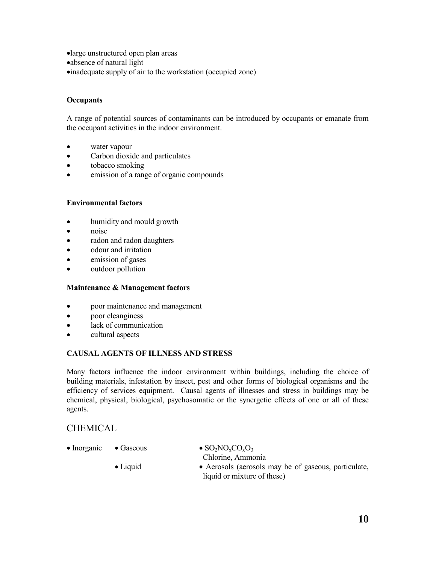- •large unstructured open plan areas
- •absence of natural light
- •inadequate supply of air to the workstation (occupied zone)

# **Occupants**

A range of potential sources of contaminants can be introduced by occupants or emanate from the occupant activities in the indoor environment.

- water vapour
- Carbon dioxide and particulates
- tobacco smoking
- emission of a range of organic compounds

### Environmental factors

- humidity and mould growth
- noise
- radon and radon daughters
- odour and irritation
- emission of gases
- outdoor pollution

### Maintenance & Management factors

- poor maintenance and management
- poor cleanginess
- lack of communication
- cultural aspects

# CAUSAL AGENTS OF ILLNESS AND STRESS

Many factors influence the indoor environment within buildings, including the choice of building materials, infestation by insect, pest and other forms of biological organisms and the efficiency of services equipment. Causal agents of illnesses and stress in buildings may be chemical, physical, biological, psychosomatic or the synergetic effects of one or all of these agents.

# CHEMICAL

|                  | $\bullet$ SO <sub>2</sub> NO <sub>x</sub> CO <sub>x</sub> O <sub>3</sub> |
|------------------|--------------------------------------------------------------------------|
|                  | Chlorine, Ammonia                                                        |
| $\bullet$ Liquid | • Aerosols (aerosols may be of gaseous, particulate,                     |
|                  | liquid or mixture of these)                                              |
|                  | • Inorganic • Gaseous                                                    |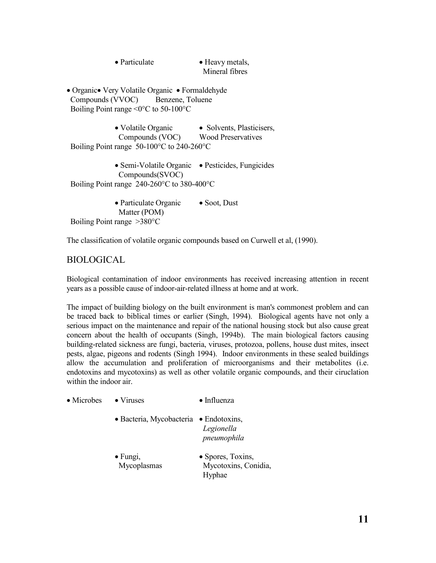| • Particulate | $\bullet$ Heavy metals, |  |
|---------------|-------------------------|--|
|               | Mineral fibres          |  |

• Organic• Very Volatile Organic • Formaldehyde Compounds (VVOC) Benzene, Toluene Boiling Point range <0°C to 50-100°C

• Volatile Organic • Solvents, Plasticisers, Compounds (VOC) Wood Preservatives Boiling Point range 50-100°C to 240-260°C

• Semi-Volatile Organic • Pesticides, Fungicides Compounds(SVOC) Boiling Point range 240-260°C to 380-400°C

• Particulate Organic • Soot, Dust Matter (POM) Boiling Point range >380°C

The classification of volatile organic compounds based on Curwell et al, (1990).

# BIOLOGICAL

Biological contamination of indoor environments has received increasing attention in recent years as a possible cause of indoor-air-related illness at home and at work.

The impact of building biology on the built environment is man's commonest problem and can be traced back to biblical times or earlier (Singh, 1994). Biological agents have not only a serious impact on the maintenance and repair of the national housing stock but also cause great concern about the health of occupants (Singh, 1994b). The main biological factors causing building-related sickness are fungi, bacteria, viruses, protozoa, pollens, house dust mites, insect pests, algae, pigeons and rodents (Singh 1994). Indoor environments in these sealed buildings allow the accumulation and proliferation of microorganisms and their metabolites (i.e. endotoxins and mycotoxins) as well as other volatile organic compounds, and their ciruclation within the indoor air.

| • Microbes | $\bullet$ Viruses                      | $\bullet$ Influenza                                 |
|------------|----------------------------------------|-----------------------------------------------------|
|            | • Bacteria, Mycobacteria • Endotoxins, | Legionella<br>pneumophila                           |
|            | $\bullet$ Fungi,<br>Mycoplasmas        | • Spores, Toxins,<br>Mycotoxins, Conidia,<br>Hyphae |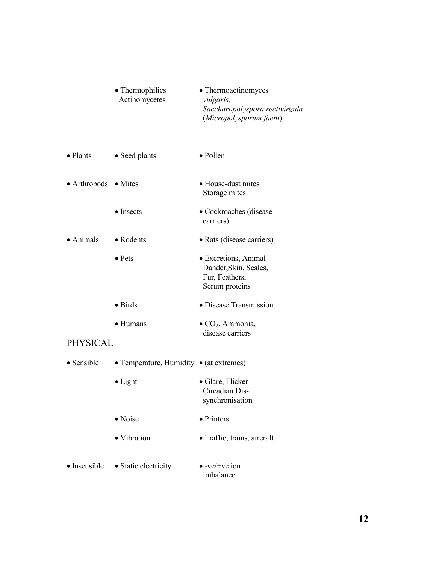|                   | • Thermophilics<br>Actinomycetes        | • Thermoactinomyces<br>vulgaris,<br>Saccharopolyspora rectivirgula<br>(Micropolysporum faeni) |
|-------------------|-----------------------------------------|-----------------------------------------------------------------------------------------------|
| $\bullet$ Plants  | • Seed plants                           | • Pollen                                                                                      |
| • Arthropods      | • Mites                                 | • House-dust mites<br>Storage mites                                                           |
|                   | $\bullet$ Insects                       | • Cockroaches (disease<br>carriers)                                                           |
| $\bullet$ Animals | • Rodents                               | • Rats (disease carriers)                                                                     |
|                   | $\bullet$ Pets                          | • Excretions, Animal<br>Dander, Skin, Scales,<br>Fur, Feathers,<br>Serum proteins             |
|                   | $\bullet$ Birds                         | • Disease Transmission                                                                        |
| <b>PHYSICAL</b>   | • Humans                                | $\bullet$ CO <sub>2</sub> , Ammonia,<br>disease carriers                                      |
| • Sensible        | • Temperature, Humidity • (at extremes) |                                                                                               |
|                   | $\bullet$ Light                         | • Glare, Flicker<br>Circadian Dis-<br>synchronisation                                         |

| $\bullet$ Noise | $\bullet$ Printers |
|-----------------|--------------------|
|                 |                    |

- Vibration Traffic, trains, aircraft
- Insensible Static electricity -ve/+ve ion imbalance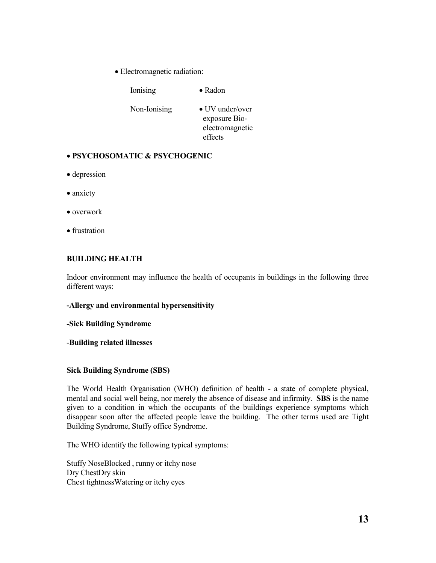• Electromagnetic radiation:

Ionising • Radon

Non-Ionising • UV under/over exposure Bio electromagnetic effects

# • PSYCHOSOMATIC & PSYCHOGENIC

- depression
- anxiety
- overwork
- frustration

# BUILDING HEALTH

Indoor environment may influence the health of occupants in buildings in the following three different ways:

-Allergy and environmental hypersensitivity

-Sick Building Syndrome

-Building related illnesses

### Sick Building Syndrome (SBS)

The World Health Organisation (WHO) definition of health - a state of complete physical, mental and social well being, nor merely the absence of disease and infirmity. SBS is the name given to a condition in which the occupants of the buildings experience symptoms which disappear soon after the affected people leave the building. The other terms used are Tight Building Syndrome, Stuffy office Syndrome.

The WHO identify the following typical symptoms:

Stuffy NoseBlocked , runny or itchy nose Dry ChestDry skin Chest tightnessWatering or itchy eyes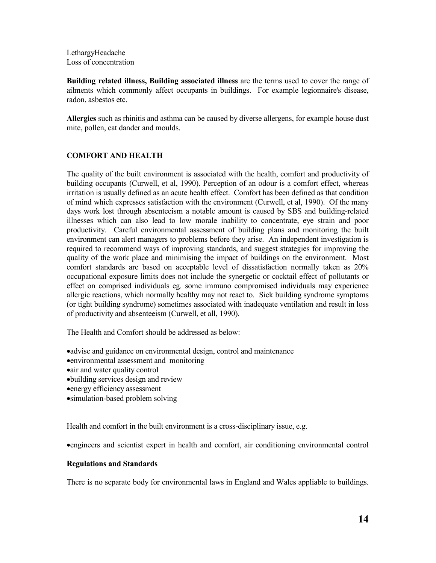LethargyHeadache Loss of concentration

Building related illness, Building associated illness are the terms used to cover the range of ailments which commonly affect occupants in buildings. For example legionnaire's disease, radon, asbestos etc.

Allergies such as rhinitis and asthma can be caused by diverse allergens, for example house dust mite, pollen, cat dander and moulds.

### COMFORT AND HEALTH

The quality of the built environment is associated with the health, comfort and productivity of building occupants (Curwell, et al, 1990). Perception of an odour is a comfort effect, whereas irritation is usually defined as an acute health effect. Comfort has been defined as that condition of mind which expresses satisfaction with the environment (Curwell, et al, 1990). Of the many days work lost through absenteeism a notable amount is caused by SBS and building-related illnesses which can also lead to low morale inability to concentrate, eye strain and poor productivity. Careful environmental assessment of building plans and monitoring the built environment can alert managers to problems before they arise. An independent investigation is required to recommend ways of improving standards, and suggest strategies for improving the quality of the work place and minimising the impact of buildings on the environment. Most comfort standards are based on acceptable level of dissatisfaction normally taken as 20% occupational exposure limits does not include the synergetic or cocktail effect of pollutants or effect on comprised individuals eg. some immuno compromised individuals may experience allergic reactions, which normally healthy may not react to. Sick building syndrome symptoms (or tight building syndrome) sometimes associated with inadequate ventilation and result in loss of productivity and absenteeism (Curwell, et all, 1990).

The Health and Comfort should be addressed as below:

•advise and guidance on environmental design, control and maintenance •environmental assessment and monitoring •air and water quality control •building services design and review

- •energy efficiency assessment
- •simulation-based problem solving

Health and comfort in the built environment is a cross-disciplinary issue, e.g.

•engineers and scientist expert in health and comfort, air conditioning environmental control

### Regulations and Standards

There is no separate body for environmental laws in England and Wales appliable to buildings.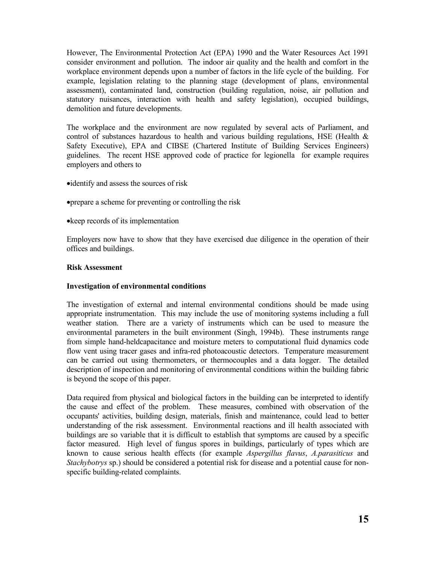However, The Environmental Protection Act (EPA) 1990 and the Water Resources Act 1991 consider environment and pollution. The indoor air quality and the health and comfort in the workplace environment depends upon a number of factors in the life cycle of the building. For example, legislation relating to the planning stage (development of plans, environmental assessment), contaminated land, construction (building regulation, noise, air pollution and statutory nuisances, interaction with health and safety legislation), occupied buildings, demolition and future developments.

The workplace and the environment are now regulated by several acts of Parliament, and control of substances hazardous to health and various building regulations, HSE (Health  $\&$ Safety Executive), EPA and CIBSE (Chartered Institute of Building Services Engineers) guidelines. The recent HSE approved code of practice for legionella for example requires employers and others to

- •identify and assess the sources of risk
- •prepare a scheme for preventing or controlling the risk

•keep records of its implementation

Employers now have to show that they have exercised due diligence in the operation of their offices and buildings.

### Risk Assessment

### Investigation of environmental conditions

The investigation of external and internal environmental conditions should be made using appropriate instrumentation. This may include the use of monitoring systems including a full weather station. There are a variety of instruments which can be used to measure the environmental parameters in the built environment (Singh, 1994b). These instruments range from simple hand-heldcapacitance and moisture meters to computational fluid dynamics code flow vent using tracer gases and infra-red photoacoustic detectors. Temperature measurement can be carried out using thermometers, or thermocouples and a data logger. The detailed description of inspection and monitoring of environmental conditions within the building fabric is beyond the scope of this paper.

Data required from physical and biological factors in the building can be interpreted to identify the cause and effect of the problem. These measures, combined with observation of the occupants' activities, building design, materials, finish and maintenance, could lead to better understanding of the risk assessment. Environmental reactions and ill health associated with buildings are so variable that it is difficult to establish that symptoms are caused by a specific factor measured. High level of fungus spores in buildings, particularly of types which are known to cause serious health effects (for example Aspergillus flavus, A.parasiticus and Stachybotrys sp.) should be considered a potential risk for disease and a potential cause for nonspecific building-related complaints.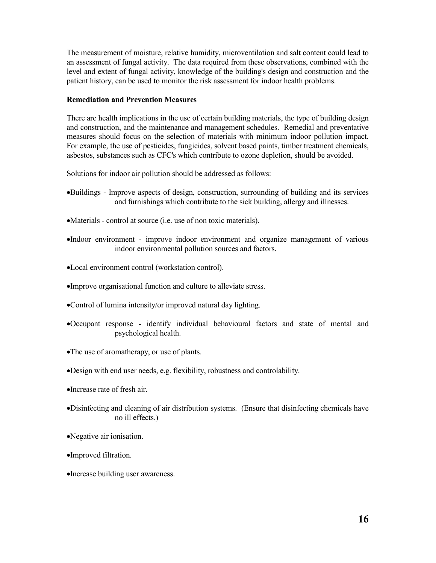The measurement of moisture, relative humidity, microventilation and salt content could lead to an assessment of fungal activity. The data required from these observations, combined with the level and extent of fungal activity, knowledge of the building's design and construction and the patient history, can be used to monitor the risk assessment for indoor health problems.

#### Remediation and Prevention Measures

There are health implications in the use of certain building materials, the type of building design and construction, and the maintenance and management schedules. Remedial and preventative measures should focus on the selection of materials with minimum indoor pollution impact. For example, the use of pesticides, fungicides, solvent based paints, timber treatment chemicals, asbestos, substances such as CFC's which contribute to ozone depletion, should be avoided.

Solutions for indoor air pollution should be addressed as follows:

- •Buildings Improve aspects of design, construction, surrounding of building and its services and furnishings which contribute to the sick building, allergy and illnesses.
- •Materials control at source (i.e. use of non toxic materials).
- •Indoor environment improve indoor environment and organize management of various indoor environmental pollution sources and factors.
- •Local environment control (workstation control).
- •Improve organisational function and culture to alleviate stress.
- •Control of lumina intensity/or improved natural day lighting.
- •Occupant response identify individual behavioural factors and state of mental and psychological health.
- •The use of aromatherapy, or use of plants.
- •Design with end user needs, e.g. flexibility, robustness and controlability.
- •Increase rate of fresh air.
- •Disinfecting and cleaning of air distribution systems. (Ensure that disinfecting chemicals have no ill effects.)
- •Negative air ionisation.
- •Improved filtration.
- •Increase building user awareness.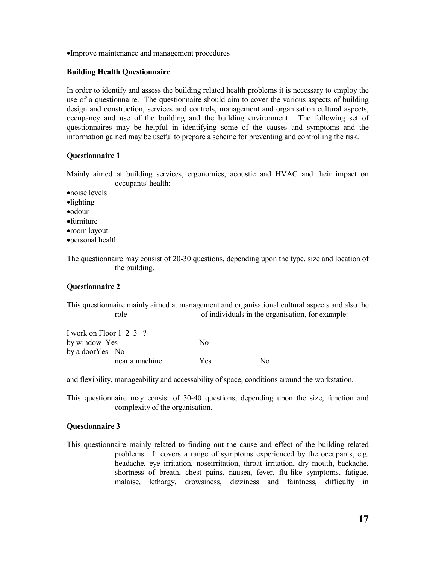•Improve maintenance and management procedures

## Building Health Questionnaire

In order to identify and assess the building related health problems it is necessary to employ the use of a questionnaire. The questionnaire should aim to cover the various aspects of building design and construction, services and controls, management and organisation cultural aspects, occupancy and use of the building and the building environment. The following set of questionnaires may be helpful in identifying some of the causes and symptoms and the information gained may be useful to prepare a scheme for preventing and controlling the risk.

# Questionnaire 1

Mainly aimed at building services, ergonomics, acoustic and HVAC and their impact on occupants' health:

•noise levels •lighting

•odour

•furniture

•room layout

•personal health

The questionnaire may consist of 20-30 questions, depending upon the type, size and location of the building.

# Questionnaire 2

This questionnaire mainly aimed at management and organisational cultural aspects and also the role of individuals in the organisation, for example:

| I work on Floor 1 2 3 ? |                |     |              |
|-------------------------|----------------|-----|--------------|
| by window Yes           |                | No  |              |
| by a doorYes No         |                |     |              |
|                         | near a machine | Yes | $N_{\Omega}$ |

and flexibility, manageability and accessability of space, conditions around the workstation.

This questionnaire may consist of 30-40 questions, depending upon the size, function and complexity of the organisation.

# Questionnaire 3

This questionnaire mainly related to finding out the cause and effect of the building related problems. It covers a range of symptoms experienced by the occupants, e.g. headache, eye irritation, noseirritation, throat irritation, dry mouth, backache, shortness of breath, chest pains, nausea, fever, flu-like symptoms, fatigue, malaise, lethargy, drowsiness, dizziness and faintness, difficulty in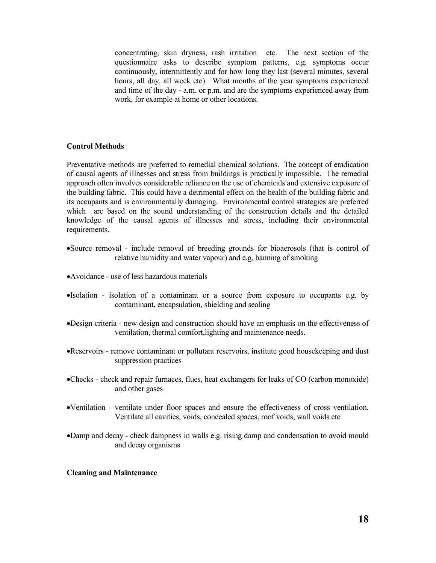concentrating, skin dryness, rash irritation etc. The next section of the questionnaire asks to describe symptom patterns, e.g. symptoms occur continuously, intermittently and for how long they last (several minutes, several hours, all day, all week etc). What months of the year symptoms experienced and time of the day - a.m. or p.m. and are the symptoms experienced away from work, for example at home or other locations.

#### Control Methods

Preventative methods are preferred to remedial chemical solutions. The concept of eradication of causal agents of illnesses and stress from buildings is practically impossible. The remedial approach often involves considerable reliance on the use of chemicals and extensive exposure of the building fabric. This could have a detrimental effect on the health of the building fabric and its occupants and is environmentally damaging. Environmental control strategies are preferred which are based on the sound understanding of the construction details and the detailed knowledge of the causal agents of illnesses and stress, including their environmental requirements.

- •Source removal include removal of breeding grounds for bioaerosols (that is control of relative humidity and water vapour) and e.g. banning of smoking
- •Avoidance use of less hazardous materials
- •Isolation isolation of a contaminant or a source from exposure to occupants e.g. by contaminant, encapsulation, shielding and sealing
- •Design criteria new design and construction should have an emphasis on the effectiveness of ventilation, thermal comfort,lighting and maintenance needs.
- •Reservoirs remove contaminant or pollutant reservoirs, institute good housekeeping and dust suppression practices
- •Checks check and repair furnaces, flues, heat exchangers for leaks of CO (carbon monoxide) and other gases
- •Ventilation ventilate under floor spaces and ensure the effectiveness of cross ventilation. Ventilate all cavities, voids, concealed spaces, roof voids, wall voids etc
- •Damp and decay check dampness in walls e.g. rising damp and condensation to avoid mould and decay organisms

#### Cleaning and Maintenance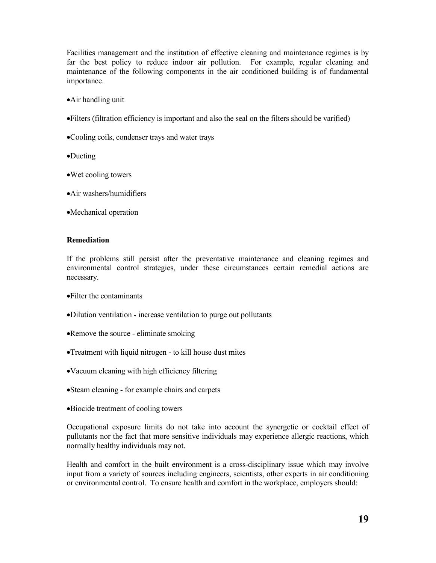Facilities management and the institution of effective cleaning and maintenance regimes is by far the best policy to reduce indoor air pollution. For example, regular cleaning and maintenance of the following components in the air conditioned building is of fundamental importance.

- •Air handling unit
- •Filters (filtration efficiency is important and also the seal on the filters should be varified)
- •Cooling coils, condenser trays and water trays
- •Ducting
- •Wet cooling towers
- •Air washers/humidifiers
- •Mechanical operation

### **Remediation**

If the problems still persist after the preventative maintenance and cleaning regimes and environmental control strategies, under these circumstances certain remedial actions are necessary.

- •Filter the contaminants
- •Dilution ventilation increase ventilation to purge out pollutants
- •Remove the source eliminate smoking
- •Treatment with liquid nitrogen to kill house dust mites
- •Vacuum cleaning with high efficiency filtering
- •Steam cleaning for example chairs and carpets
- •Biocide treatment of cooling towers

Occupational exposure limits do not take into account the synergetic or cocktail effect of pullutants nor the fact that more sensitive individuals may experience allergic reactions, which normally healthy individuals may not.

Health and comfort in the built environment is a cross-disciplinary issue which may involve input from a variety of sources including engineers, scientists, other experts in air conditioning or environmental control. To ensure health and comfort in the workplace, employers should: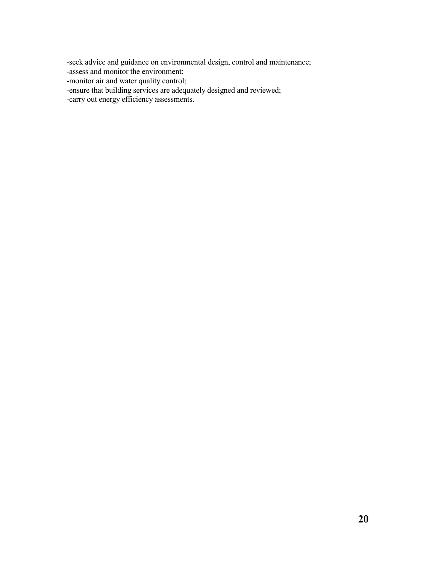-seek advice and guidance on environmental design, control and maintenance;

-assess and monitor the environment;

-monitor air and water quality control;

-ensure that building services are adequately designed and reviewed;

-carry out energy efficiency assessments.